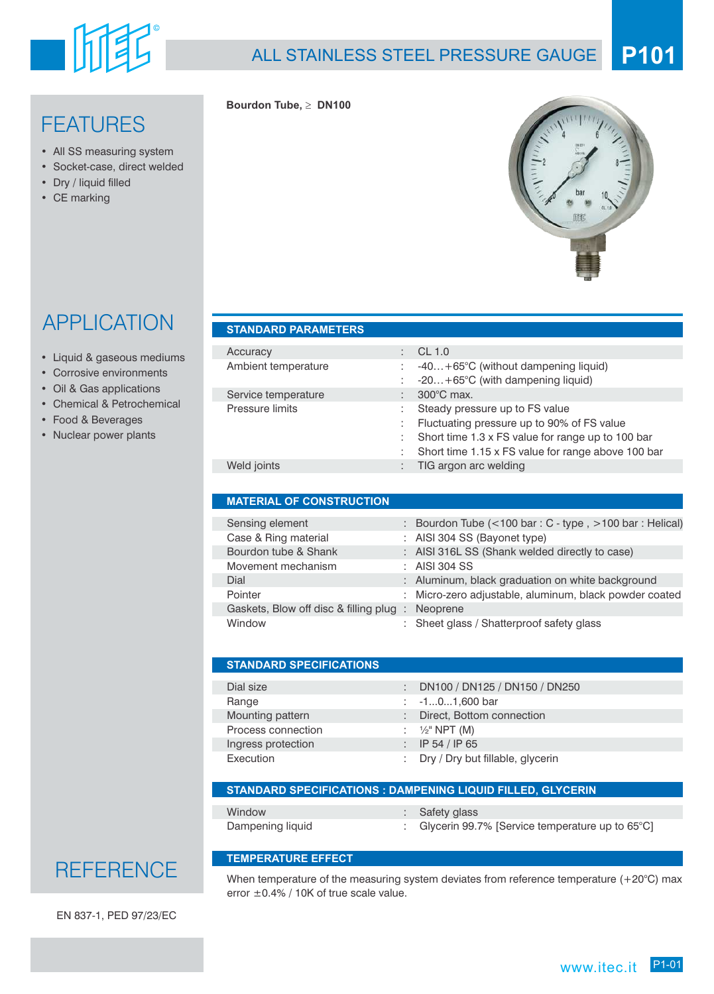

### ALL STAINLESS STEEL PRESSURE GAUGE **P101**

## FEATURES

- All SS measuring system
- Socket-case, direct welded
- Dry / liquid filled
- CE marking



Short time 1.15 x FS value for range above 100 bar

# APPLICATION

- Liquid & gaseous mediums
- Corrosive environments
- Oil & Gas applications
- Chemical & Petrochemical
- Food & Beverages
- Nuclear power plants

| Accuracy            | CL 1.0                                                                                                                                      |
|---------------------|---------------------------------------------------------------------------------------------------------------------------------------------|
| Ambient temperature | $-40+65^{\circ}C$ (without dampening liquid)<br>$-20+65^{\circ}C$ (with dampening liquid)<br>÷                                              |
| Service temperature | $300^{\circ}$ C max.                                                                                                                        |
| Pressure limits     | Steady pressure up to FS value<br>Fluctuating pressure up to 90% of FS value<br>÷<br>Short time 1.3 x FS value for range up to 100 bar<br>÷ |

Weld joints **in the case of the COV** control of the TIG argon arc welding

### **MATERIAL OF CONSTRUCTION**

| Sensing element                        | : Bourdon Tube $(<100 \text{ bar} : C - \text{type}$ , $>100 \text{ bar} : \text{Helical}$ ) |
|----------------------------------------|----------------------------------------------------------------------------------------------|
| Case & Ring material                   | : AISI 304 SS (Bayonet type)                                                                 |
| Bourdon tube & Shank                   | : AISI 316L SS (Shank welded directly to case)                                               |
| Movement mechanism                     | $\therefore$ AISI 304 SS                                                                     |
| Dial                                   | : Aluminum, black graduation on white background                                             |
| Pointer                                | : Micro-zero adjustable, aluminum, black powder coated                                       |
| Gaskets, Blow off disc & filling plug: | Neoprene                                                                                     |
| Window                                 | : Sheet glass / Shatterproof safety glass                                                    |

| <b>STANDARD SPECIFICATIONS</b> |    |                                  |
|--------------------------------|----|----------------------------------|
| Dial size                      | ÷. | DN100 / DN125 / DN150 / DN250    |
|                                |    |                                  |
| Range                          |    | : $-101,600$ bar                 |
| Mounting pattern               |    | Direct, Bottom connection        |
| Process connection             |    | : $\frac{1}{2}$ " NPT (M)        |
| Ingress protection             |    | IP 54 / IP 65                    |
| Execution                      |    | Dry / Dry but fillable, glycerin |

#### **STANDARD SPECIFICATIONS : DAMPENING LIQUID FILLED, GLYCERIN**

| Window           | : Safety glass                                              |
|------------------|-------------------------------------------------------------|
| Dampening liquid | : Glycerin 99.7% [Service temperature up to $65^{\circ}$ C] |

### **TEMPERATURE EFFECT**

When temperature of the measuring system deviates from reference temperature (+20°C) max error ±0.4% / 10K of true scale value.

EN 837-1, PED 97/23/EC

**REFERENCE** 

## **STANDARD PARAMETERS**

**Bourdon Tube, DN100**

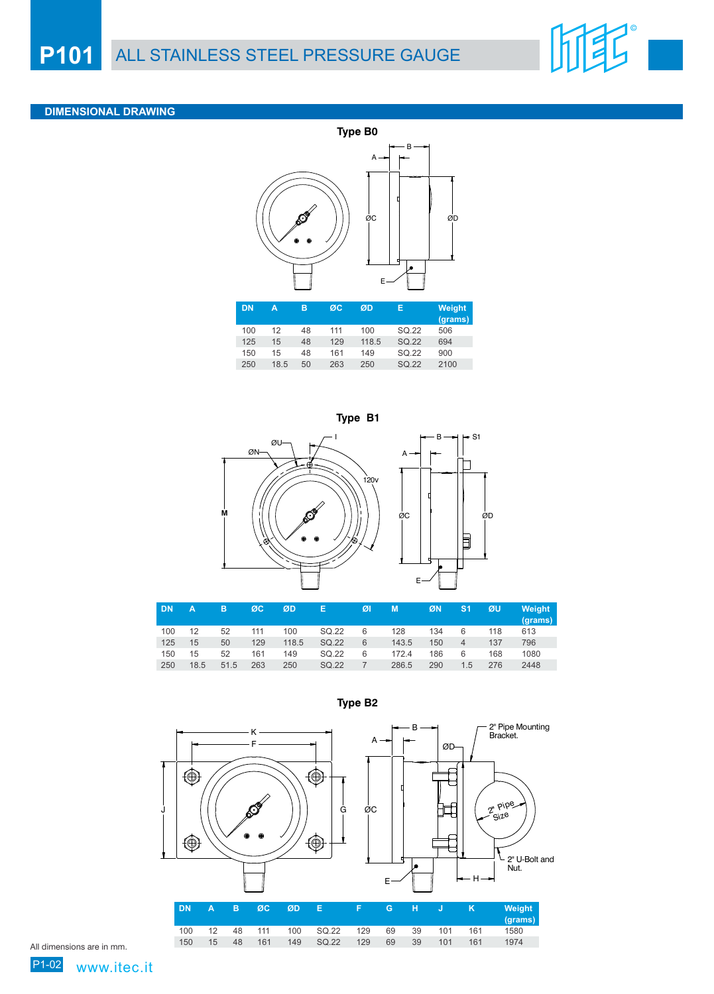

### **DIMENSIONAL DRAWING**







| <b>DN</b> | А    | в    | ØC  | ØD    | Е     | ØI | М     | ØN  | S <sub>1</sub> | ØU  | Weight<br>(grams) |
|-----------|------|------|-----|-------|-------|----|-------|-----|----------------|-----|-------------------|
| 100       | 12   | 52   | 111 | 100   | SQ.22 | 6  | 128   | 134 | 6              | 118 | 613               |
| 125       | 15   | 50   | 129 | 118.5 | SQ.22 | 6  | 143.5 | 150 |                | 137 | 796               |
| 150       | 15   | 52   | 161 | 149   | SQ.22 | 6  | 172.4 | 186 | 6              | 168 | 1080              |
| 250       | 18.5 | 51.5 | 263 | 250   | SQ.22 |    | 286.5 | 290 | 1.5            | 276 | 2448              |



**Type B2**

All dimensions are in mm.

www.itec.it

P1-02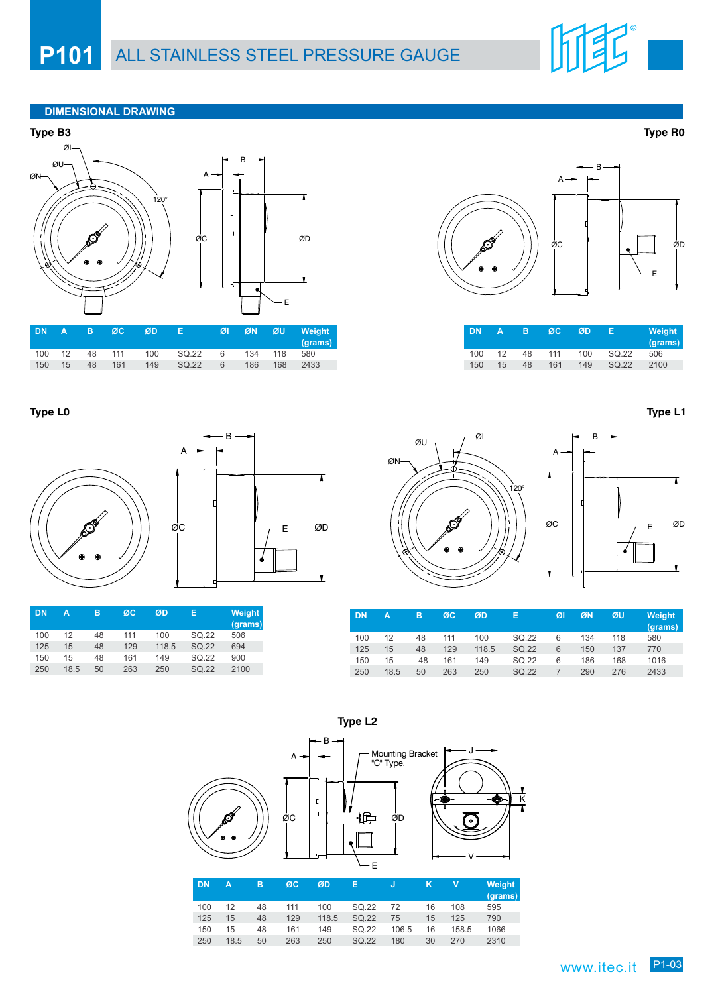### **DIMENSIONAL DRAWING**



|  |  | IDNA BØC ØD E                                   |  | ØI ØN ØU Weight<br>(grams) |  |
|--|--|-------------------------------------------------|--|----------------------------|--|
|  |  | 100  12  48  111  100  SQ.22  6  134  118  580  |  |                            |  |
|  |  | 150  15  48  161  149  SQ.22  6  186  168  2433 |  |                            |  |

**Type L0**



| DN  | А    | в  | ØC  | ØD    | Е     | <b>Weight</b><br>(grams) |
|-----|------|----|-----|-------|-------|--------------------------|
| 100 | 12   | 48 | 111 | 100   | SQ.22 | 506                      |
| 125 | 15   | 48 | 129 | 118.5 | SQ.22 | 694                      |
| 150 | 15   | 48 | 161 | 149   | SQ.22 | 900                      |
| 250 | 18.5 | 50 | 263 | 250   | SQ.22 | 2100                     |



| <b>DN</b> | Δ               | в  | ØC  | ØD  | F     | Weight<br>(grams) |
|-----------|-----------------|----|-----|-----|-------|-------------------|
| 100       | 12              | 48 | 111 | 100 | SQ.22 | 506               |
| 150       | 15 <sub>1</sub> | 48 | 161 | 149 | SQ.22 | 2100              |

B

E

**Type L1**



| <b>DN</b> | A    | в  | ØC  | ØD    | E     | ØI | ØN  | ØU  | <b>Weight</b><br>(grams) |
|-----------|------|----|-----|-------|-------|----|-----|-----|--------------------------|
| 100       | 12   | 48 | 111 | 100   | SQ.22 | 6  | 134 | 118 | 580                      |
| 125       | 15   | 48 | 129 | 118.5 | SQ.22 | 6  | 150 | 137 | 770                      |
| 150       | 15   | 48 | 161 | 149   | SQ.22 | 6  | 186 | 168 | 1016                     |
| 250       | 18.5 | 50 | 263 | 250   | SQ.22 |    | 290 | 276 | 2433                     |



150 15 48 161 149 SQ.22 106.5 16 158.5 1066 250 18.5 50 263 250 SQ.22 180 30 270 2310

**Type L2**

**Type R0**